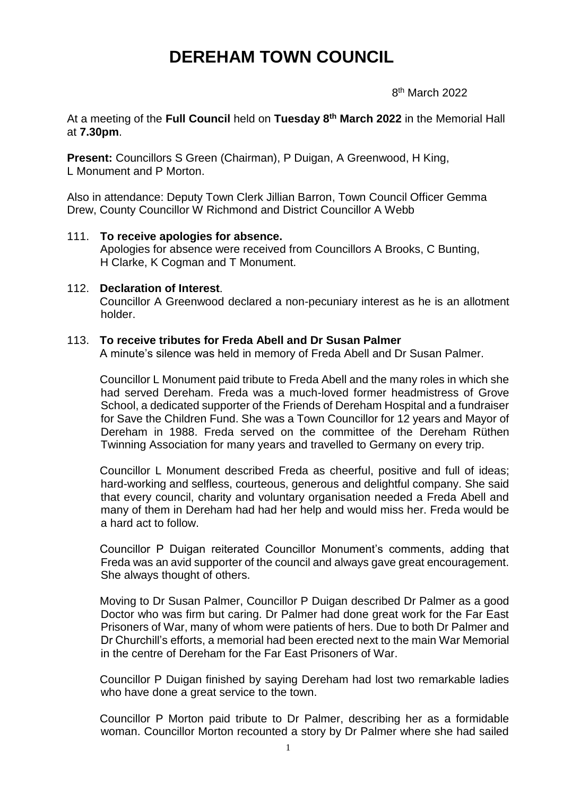# **DEREHAM TOWN COUNCIL**

en andere de la provincia de la provincia de la provincia de la provincia de la provincia de la provincia del 8<sup>th</sup> March 2022

At a meeting of the **Full Council** held on **Tuesday 8 th March 2022** in the Memorial Hall at **7.30pm**.

**Present:** Councillors S Green (Chairman), P Duigan, A Greenwood, H King, L Monument and P Morton.

Also in attendance: Deputy Town Clerk Jillian Barron, Town Council Officer Gemma Drew, County Councillor W Richmond and District Councillor A Webb

# 111. **To receive apologies for absence.** Apologies for absence were received from Councillors A Brooks, C Bunting, H Clarke, K Cogman and T Monument.

#### 112. **Declaration of Interest**.

Councillor A Greenwood declared a non-pecuniary interest as he is an allotment holder.

#### 113. **To receive tributes for Freda Abell and Dr Susan Palmer**

A minute's silence was held in memory of Freda Abell and Dr Susan Palmer.

Councillor L Monument paid tribute to Freda Abell and the many roles in which she had served Dereham. Freda was a much-loved former headmistress of Grove School, a dedicated supporter of the Friends of Dereham Hospital and a fundraiser for Save the Children Fund. She was a Town Councillor for 12 years and Mayor of Dereham in 1988. Freda served on the committee of the Dereham Rüthen Twinning Association for many years and travelled to Germany on every trip.

Councillor L Monument described Freda as cheerful, positive and full of ideas; hard-working and selfless, courteous, generous and delightful company. She said that every council, charity and voluntary organisation needed a Freda Abell and many of them in Dereham had had her help and would miss her. Freda would be a hard act to follow.

Councillor P Duigan reiterated Councillor Monument's comments, adding that Freda was an avid supporter of the council and always gave great encouragement. She always thought of others.

Moving to Dr Susan Palmer, Councillor P Duigan described Dr Palmer as a good Doctor who was firm but caring. Dr Palmer had done great work for the Far East Prisoners of War, many of whom were patients of hers. Due to both Dr Palmer and Dr Churchill's efforts, a memorial had been erected next to the main War Memorial in the centre of Dereham for the Far East Prisoners of War.

Councillor P Duigan finished by saying Dereham had lost two remarkable ladies who have done a great service to the town.

Councillor P Morton paid tribute to Dr Palmer, describing her as a formidable woman. Councillor Morton recounted a story by Dr Palmer where she had sailed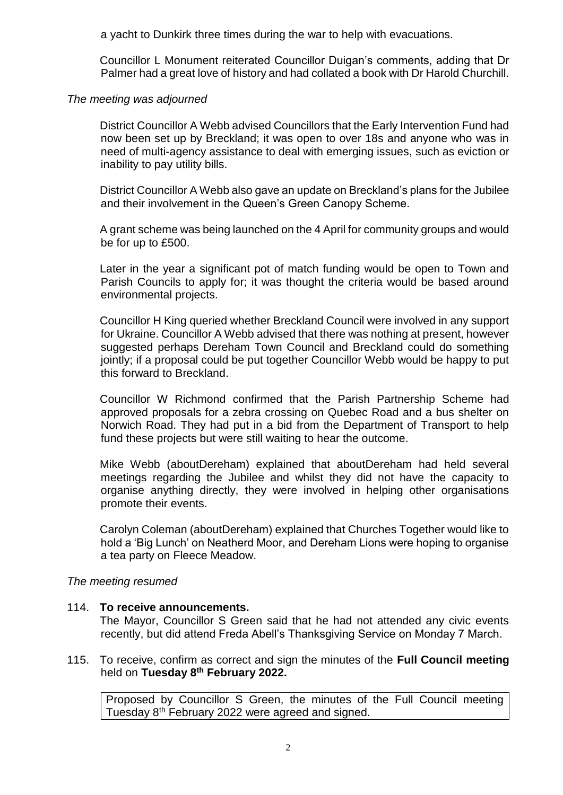a yacht to Dunkirk three times during the war to help with evacuations.

Councillor L Monument reiterated Councillor Duigan's comments, adding that Dr Palmer had a great love of history and had collated a book with Dr Harold Churchill.

#### *The meeting was adjourned*

District Councillor A Webb advised Councillors that the Early Intervention Fund had now been set up by Breckland; it was open to over 18s and anyone who was in need of multi-agency assistance to deal with emerging issues, such as eviction or inability to pay utility bills.

District Councillor A Webb also gave an update on Breckland's plans for the Jubilee and their involvement in the Queen's Green Canopy Scheme.

A grant scheme was being launched on the 4 April for community groups and would be for up to £500.

Later in the year a significant pot of match funding would be open to Town and Parish Councils to apply for; it was thought the criteria would be based around environmental projects.

Councillor H King queried whether Breckland Council were involved in any support for Ukraine. Councillor A Webb advised that there was nothing at present, however suggested perhaps Dereham Town Council and Breckland could do something jointly; if a proposal could be put together Councillor Webb would be happy to put this forward to Breckland.

Councillor W Richmond confirmed that the Parish Partnership Scheme had approved proposals for a zebra crossing on Quebec Road and a bus shelter on Norwich Road. They had put in a bid from the Department of Transport to help fund these projects but were still waiting to hear the outcome.

Mike Webb (aboutDereham) explained that aboutDereham had held several meetings regarding the Jubilee and whilst they did not have the capacity to organise anything directly, they were involved in helping other organisations promote their events.

Carolyn Coleman (aboutDereham) explained that Churches Together would like to hold a 'Big Lunch' on Neatherd Moor, and Dereham Lions were hoping to organise a tea party on Fleece Meadow.

# *The meeting resumed*

# 114. **To receive announcements.**

The Mayor, Councillor S Green said that he had not attended any civic events recently, but did attend Freda Abell's Thanksgiving Service on Monday 7 March.

#### 115. To receive, confirm as correct and sign the minutes of the **Full Council meeting** held on **Tuesday 8 th February 2022.**

Proposed by Councillor S Green, the minutes of the Full Council meeting Tuesday 8th February 2022 were agreed and signed.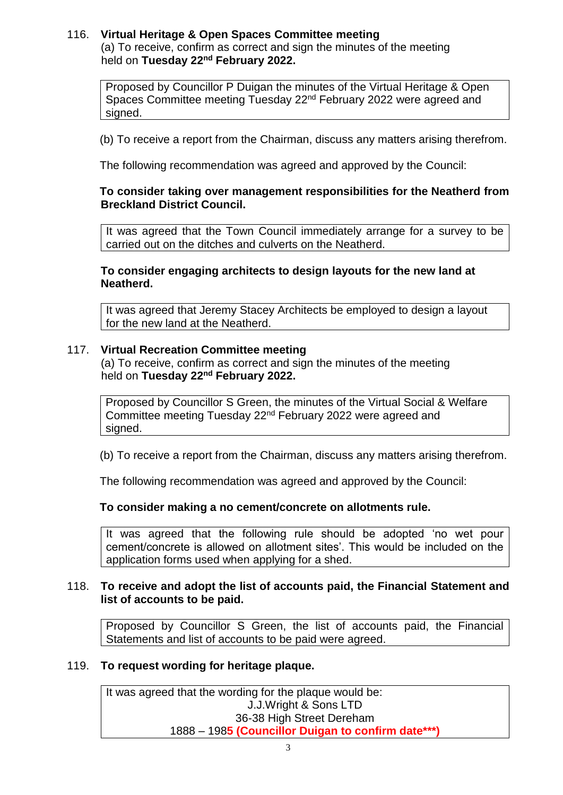#### 116. **Virtual Heritage & Open Spaces Committee meeting** (a) To receive, confirm as correct and sign the minutes of the meeting held on **Tuesday 22nd February 2022.**

Proposed by Councillor P Duigan the minutes of the Virtual Heritage & Open Spaces Committee meeting Tuesday 22nd February 2022 were agreed and signed.

(b) To receive a report from the Chairman, discuss any matters arising therefrom.

The following recommendation was agreed and approved by the Council:

# **To consider taking over management responsibilities for the Neatherd from Breckland District Council.**

It was agreed that the Town Council immediately arrange for a survey to be carried out on the ditches and culverts on the Neatherd.

### **To consider engaging architects to design layouts for the new land at Neatherd.**

It was agreed that Jeremy Stacey Architects be employed to design a layout for the new land at the Neatherd.

#### 117. **Virtual Recreation Committee meeting**

(a) To receive, confirm as correct and sign the minutes of the meeting held on **Tuesday 22nd February 2022.**

Proposed by Councillor S Green, the minutes of the Virtual Social & Welfare Committee meeting Tuesday 22nd February 2022 were agreed and signed.

(b) To receive a report from the Chairman, discuss any matters arising therefrom.

The following recommendation was agreed and approved by the Council:

# **To consider making a no cement/concrete on allotments rule.**

It was agreed that the following rule should be adopted 'no wet pour cement/concrete is allowed on allotment sites'. This would be included on the application forms used when applying for a shed.

# 118. **To receive and adopt the list of accounts paid, the Financial Statement and list of accounts to be paid.**

Proposed by Councillor S Green, the list of accounts paid, the Financial Statements and list of accounts to be paid were agreed.

# 119. **To request wording for heritage plaque.**

It was agreed that the wording for the plaque would be: J.J.Wright & Sons LTD 36-38 High Street Dereham 1888 – 198**5 (Councillor Duigan to confirm date\*\*\*)**